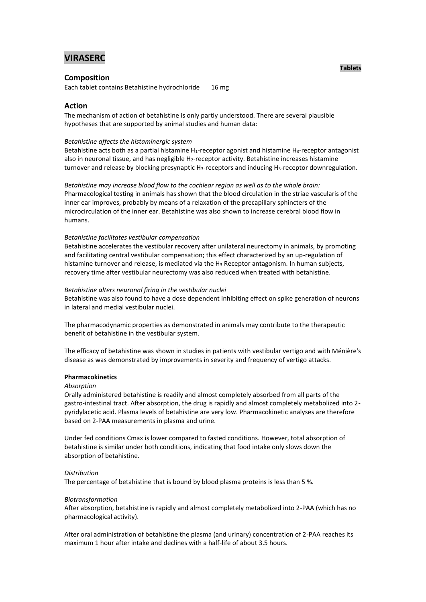# **VIRASERC**

### **Composition**

Each tablet contains Betahistine hydrochloride 16 mg

# **Action**

The mechanism of action of betahistine is only partly understood. There are several plausible hypotheses that are supported by animal studies and human data:

#### *Betahistine affects the histaminergic system*

Betahistine acts both as a partial histamine  $H_1$ -receptor agonist and histamine  $H_3$ -receptor antagonist also in neuronal tissue, and has negligible H2-receptor activity. Betahistine increases histamine turnover and release by blocking presynaptic H<sub>3</sub>-receptors and inducing H<sub>3</sub>-receptor downregulation.

*Betahistine may increase blood flow to the cochlear region as well as to the whole brain:* Pharmacological testing in animals has shown that the blood circulation in the striae vascularis of the inner ear improves, probably by means of a relaxation of the precapillary sphincters of the microcirculation of the inner ear. Betahistine was also shown to increase cerebral blood flow in humans.

#### *Betahistine facilitates vestibular compensation*

Betahistine accelerates the vestibular recovery after unilateral neurectomy in animals, by promoting and facilitating central vestibular compensation; this effect characterized by an up-regulation of histamine turnover and release, is mediated via the H<sub>3</sub> Receptor antagonism. In human subjects, recovery time after vestibular neurectomy was also reduced when treated with betahistine.

#### *Betahistine alters neuronal firing in the vestibular nuclei*

Betahistine was also found to have a dose dependent inhibiting effect on spike generation of neurons in lateral and medial vestibular nuclei.

The pharmacodynamic properties as demonstrated in animals may contribute to the therapeutic benefit of betahistine in the vestibular system.

The efficacy of betahistine was shown in studies in patients with vestibular vertigo and with Ménière's disease as was demonstrated by improvements in severity and frequency of vertigo attacks.

#### **Pharmacokinetics**

#### *Absorption*

Orally administered betahistine is readily and almost completely absorbed from all parts of the gastro-intestinal tract. After absorption, the drug is rapidly and almost completely metabolized into 2 pyridylacetic acid. Plasma levels of betahistine are very low. Pharmacokinetic analyses are therefore based on 2-PAA measurements in plasma and urine.

Under fed conditions Cmax is lower compared to fasted conditions. However, total absorption of betahistine is similar under both conditions, indicating that food intake only slows down the absorption of betahistine.

#### *Distribution*

The percentage of betahistine that is bound by blood plasma proteins is less than 5 %.

#### *Biotransformation*

After absorption, betahistine is rapidly and almost completely metabolized into 2-PAA (which has no pharmacological activity).

After oral administration of betahistine the plasma (and urinary) concentration of 2-PAA reaches its maximum 1 hour after intake and declines with a half-life of about 3.5 hours.

#### **Tablets**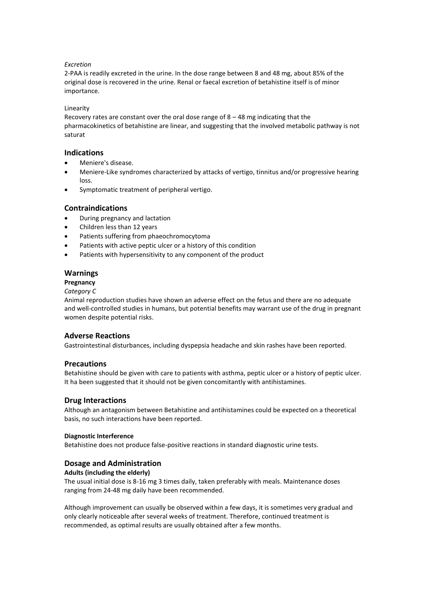### *Excretion*

2-PAA is readily excreted in the urine. In the dose range between 8 and 48 mg, about 85% of the original dose is recovered in the urine. Renal or faecal excretion of betahistine itself is of minor importance.

### Linearity

Recovery rates are constant over the oral dose range of 8 – 48 mg indicating that the pharmacokinetics of betahistine are linear, and suggesting that the involved metabolic pathway is not saturat

### **Indications**

- Meniere's disease.
- Meniere-Like syndromes characterized by attacks of vertigo, tinnitus and/or progressive hearing loss.
- Symptomatic treatment of peripheral vertigo.

### **Contraindications**

- During pregnancy and lactation
- Children less than 12 years
- Patients suffering from phaeochromocytoma
- Patients with active peptic ulcer or a history of this condition
- Patients with hypersensitivity to any component of the product

### **Warnings**

### **Pregnancy**

#### *Category C*

Animal reproduction studies have shown an adverse effect on the fetus and there are no adequate and well-controlled studies in humans, but potential benefits may warrant use of the drug in pregnant women despite potential risks.

# **Adverse Reactions**

Gastrointestinal disturbances, including dyspepsia headache and skin rashes have been reported.

### **Precautions**

Betahistine should be given with care to patients with asthma, peptic ulcer or a history of peptic ulcer. It ha been suggested that it should not be given concomitantly with antihistamines.

# **Drug Interactions**

Although an antagonism between Betahistine and antihistamines could be expected on a theoretical basis, no such interactions have been reported.

### **Diagnostic Interference**

Betahistine does not produce false-positive reactions in standard diagnostic urine tests.

# **Dosage and Administration**

### **Adults (including the elderly)**

The usual initial dose is 8-16 mg 3 times daily, taken preferably with meals. Maintenance doses ranging from 24-48 mg daily have been recommended.

Although improvement can usually be observed within a few days, it is sometimes very gradual and only clearly noticeable after several weeks of treatment. Therefore, continued treatment is recommended, as optimal results are usually obtained after a few months.